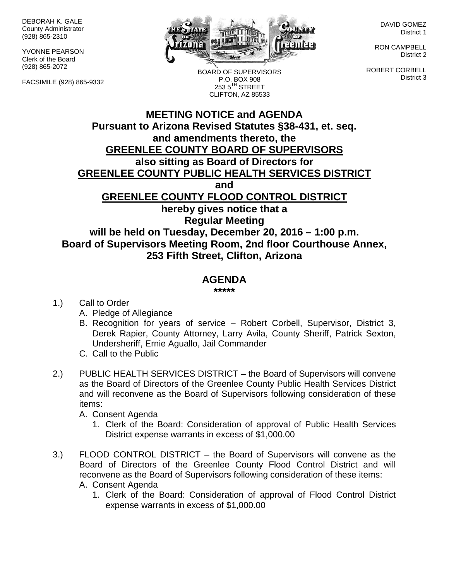DEBORAH K. GALE County Administrator (928) 865-2310

YVONNE PEARSON Clerk of the Board (928) 865-2072

FACSIMILE (928) 865-9332



BOARD OF SUPERVISORS P.O. BOX 908 253 5<sup>TH</sup> STREET CLIFTON, AZ 85533

DAVID GOMEZ District 1

RON CAMPBELL District 2

ROBERT CORBELL District 3

## **MEETING NOTICE and AGENDA Pursuant to Arizona Revised Statutes §38-431, et. seq. and amendments thereto, the GREENLEE COUNTY BOARD OF SUPERVISORS also sitting as Board of Directors for GREENLEE COUNTY PUBLIC HEALTH SERVICES DISTRICT and GREENLEE COUNTY FLOOD CONTROL DISTRICT hereby gives notice that a Regular Meeting will be held on Tuesday, December 20, 2016 – 1:00 p.m. Board of Supervisors Meeting Room, 2nd floor Courthouse Annex, 253 Fifth Street, Clifton, Arizona**

## **AGENDA**

**\*\*\*\*\***

1.) Call to Order

- A. Pledge of Allegiance
- B. Recognition for years of service Robert Corbell, Supervisor, District 3, Derek Rapier, County Attorney, Larry Avila, County Sheriff, Patrick Sexton, Undersheriff, Ernie Aguallo, Jail Commander
- C. Call to the Public
- 2.) PUBLIC HEALTH SERVICES DISTRICT the Board of Supervisors will convene as the Board of Directors of the Greenlee County Public Health Services District and will reconvene as the Board of Supervisors following consideration of these items:
	- A. Consent Agenda
		- 1. Clerk of the Board: Consideration of approval of Public Health Services District expense warrants in excess of \$1,000.00
- 3.) FLOOD CONTROL DISTRICT the Board of Supervisors will convene as the Board of Directors of the Greenlee County Flood Control District and will reconvene as the Board of Supervisors following consideration of these items: A. Consent Agenda
	- 1. Clerk of the Board: Consideration of approval of Flood Control District expense warrants in excess of \$1,000.00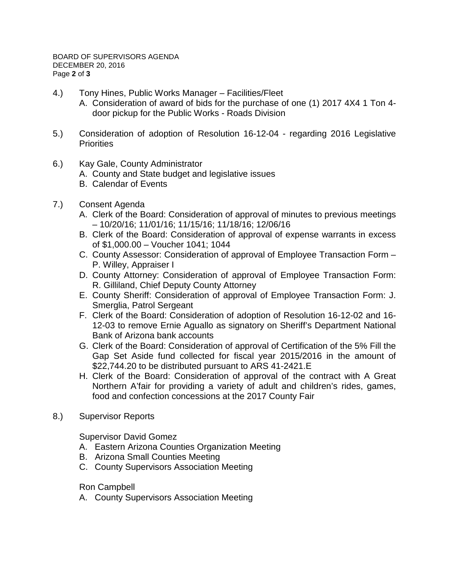- 4.) Tony Hines, Public Works Manager Facilities/Fleet
	- A. Consideration of award of bids for the purchase of one (1) 2017 4X4 1 Ton 4 door pickup for the Public Works - Roads Division
- 5.) Consideration of adoption of Resolution 16-12-04 regarding 2016 Legislative **Priorities**
- 6.) Kay Gale, County Administrator
	- A. County and State budget and legislative issues
	- B. Calendar of Events
- 7.) Consent Agenda
	- A. Clerk of the Board: Consideration of approval of minutes to previous meetings – 10/20/16; 11/01/16; 11/15/16; 11/18/16; 12/06/16
	- B. Clerk of the Board: Consideration of approval of expense warrants in excess of \$1,000.00 – Voucher 1041; 1044
	- C. County Assessor: Consideration of approval of Employee Transaction Form P. Willey, Appraiser I
	- D. County Attorney: Consideration of approval of Employee Transaction Form: R. Gilliland, Chief Deputy County Attorney
	- E. County Sheriff: Consideration of approval of Employee Transaction Form: J. Smerglia, Patrol Sergeant
	- F. Clerk of the Board: Consideration of adoption of Resolution 16-12-02 and 16- 12-03 to remove Ernie Aguallo as signatory on Sheriff's Department National Bank of Arizona bank accounts
	- G. Clerk of the Board: Consideration of approval of Certification of the 5% Fill the Gap Set Aside fund collected for fiscal year 2015/2016 in the amount of \$22,744.20 to be distributed pursuant to ARS 41-2421.E
	- H. Clerk of the Board: Consideration of approval of the contract with A Great Northern A'fair for providing a variety of adult and children's rides, games, food and confection concessions at the 2017 County Fair
- 8.) Supervisor Reports

Supervisor David Gomez

- A. Eastern Arizona Counties Organization Meeting
- B. Arizona Small Counties Meeting
- C. County Supervisors Association Meeting

Ron Campbell

A. County Supervisors Association Meeting